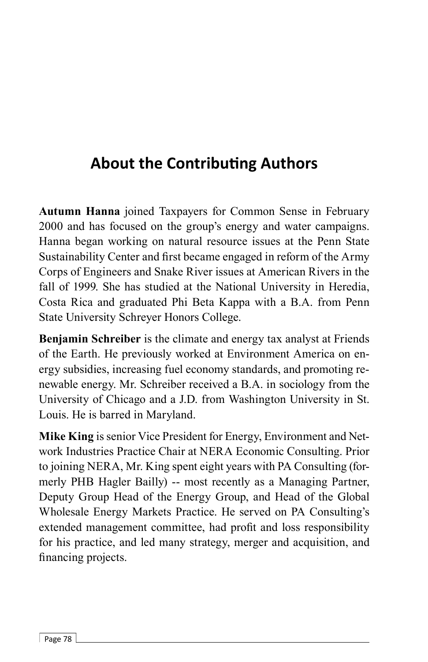## **About the Contributing Authors**

**Autumn Hanna** joined Taxpayers for Common Sense in February 2000 and has focused on the group's energy and water campaigns. Hanna began working on natural resource issues at the Penn State Sustainability Center and first became engaged in reform of the Army Corps of Engineers and Snake River issues at American Rivers in the fall of 1999. She has studied at the National University in Heredia, Costa Rica and graduated Phi Beta Kappa with a B.A. from Penn State University Schreyer Honors College.

**Benjamin Schreiber** is the climate and energy tax analyst at Friends of the Earth. He previously worked at Environment America on energy subsidies, increasing fuel economy standards, and promoting renewable energy. Mr. Schreiber received a B.A. in sociology from the University of Chicago and a J.D. from Washington University in St. Louis. He is barred in Maryland.

**Mike King** is senior Vice President for Energy, Environment and Network Industries Practice Chair at NERA Economic Consulting. Prior to joining NERA, Mr. King spent eight years with PA Consulting (formerly PHB Hagler Bailly) -- most recently as a Managing Partner, Deputy Group Head of the Energy Group, and Head of the Global Wholesale Energy Markets Practice. He served on PA Consulting's extended management committee, had profit and loss responsibility for his practice, and led many strategy, merger and acquisition, and financing projects.